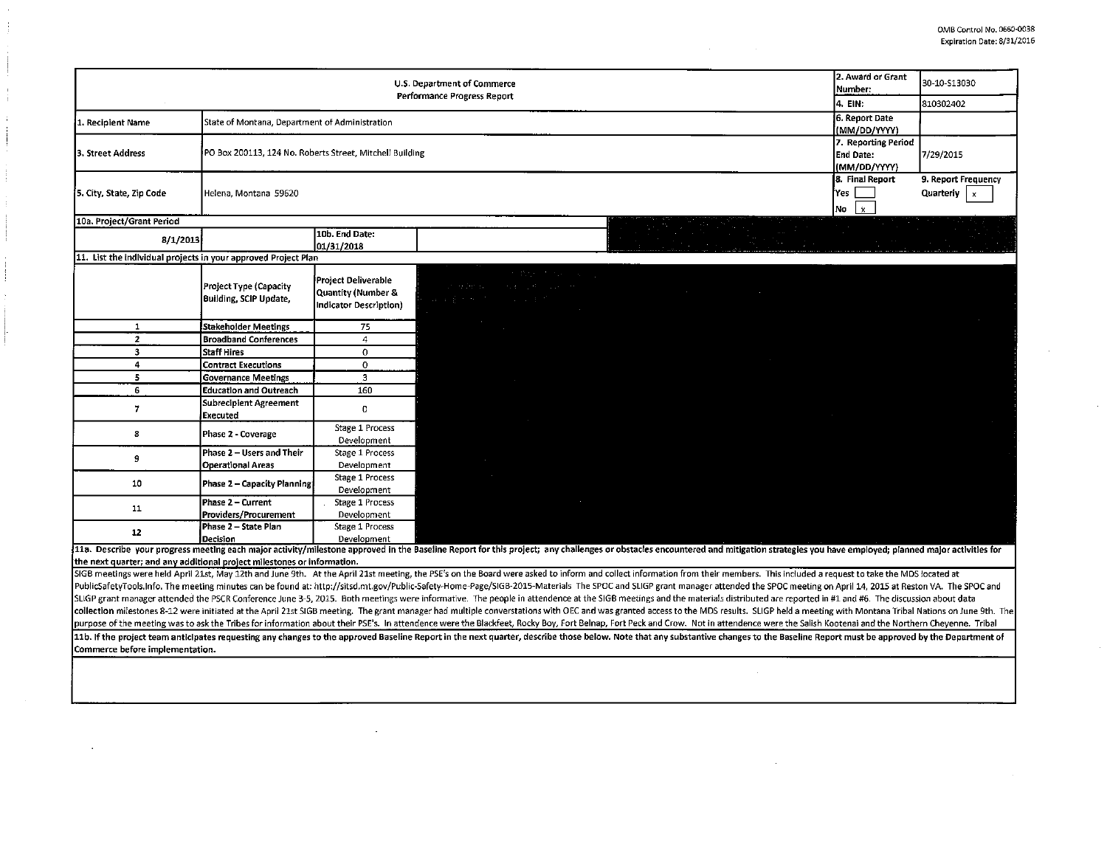|                                                                         |                                                          |                                                                         | U.S. Department of Commerce<br>Performance Progress Report                                                                                                                                                                                                                                                                                                                                                                                                       | 2. Award or Grant<br>Number:<br>4. EIN:             | 30-10-S13030<br>810302402                          |
|-------------------------------------------------------------------------|----------------------------------------------------------|-------------------------------------------------------------------------|------------------------------------------------------------------------------------------------------------------------------------------------------------------------------------------------------------------------------------------------------------------------------------------------------------------------------------------------------------------------------------------------------------------------------------------------------------------|-----------------------------------------------------|----------------------------------------------------|
| State of Montana, Department of Administration<br>1. Recipient Name     |                                                          |                                                                         |                                                                                                                                                                                                                                                                                                                                                                                                                                                                  |                                                     |                                                    |
| 3. Street Address                                                       | PO Box 200113, 124 No. Roberts Street, Mitchell Building | (MM/DD/YYYY)<br>7. Reporting Period<br><b>End Date:</b><br>(MM/DD/YYYY) | 7/29/2015                                                                                                                                                                                                                                                                                                                                                                                                                                                        |                                                     |                                                    |
| 5. City, State, Zip Code                                                | Helena, Montana 59620                                    |                                                                         |                                                                                                                                                                                                                                                                                                                                                                                                                                                                  | 8. Final Report<br>iYes<br>No<br>$\mathbf{\hat{x}}$ | 9. Report Frequency<br>Quarterly<br>$\pmb{\times}$ |
| 10a. Project/Grant Period                                               |                                                          |                                                                         |                                                                                                                                                                                                                                                                                                                                                                                                                                                                  |                                                     |                                                    |
| 8/1/2013                                                                |                                                          | 10b. End Date:<br>01/31/2018                                            |                                                                                                                                                                                                                                                                                                                                                                                                                                                                  |                                                     |                                                    |
| 11. List the individual projects in your approved Project Plan          |                                                          |                                                                         |                                                                                                                                                                                                                                                                                                                                                                                                                                                                  |                                                     |                                                    |
|                                                                         | Project Type (Capacity<br>Building, SCIP Update,         | Project Deliverable<br>Quantity (Number &<br>Indicator Description)     | 不整理 医神经细胞的<br>an enforcement of the product of the<br>はなま かんけいしょうほど                                                                                                                                                                                                                                                                                                                                                                                              |                                                     |                                                    |
| $\mathbf{1}$                                                            | Stakeholder Meetings                                     | 75                                                                      |                                                                                                                                                                                                                                                                                                                                                                                                                                                                  |                                                     |                                                    |
| $\overline{2}$                                                          | <b>Broadband Conferences</b>                             | 4                                                                       |                                                                                                                                                                                                                                                                                                                                                                                                                                                                  |                                                     |                                                    |
| 3                                                                       | <b>Staff Hires</b>                                       | $\mathbf 0$                                                             |                                                                                                                                                                                                                                                                                                                                                                                                                                                                  |                                                     |                                                    |
| 4                                                                       | <b>Contract Executions</b>                               | $\mathbf 0$                                                             |                                                                                                                                                                                                                                                                                                                                                                                                                                                                  |                                                     |                                                    |
| 5                                                                       | <b>Governance Meetings</b>                               | $\overline{3}$                                                          |                                                                                                                                                                                                                                                                                                                                                                                                                                                                  |                                                     |                                                    |
| 6                                                                       | <b>Education and Outreach</b>                            | 160                                                                     |                                                                                                                                                                                                                                                                                                                                                                                                                                                                  |                                                     |                                                    |
| $\overline{7}$                                                          | Subrecipient Agreement<br><b>Executed</b>                | $\mathbf 0$                                                             |                                                                                                                                                                                                                                                                                                                                                                                                                                                                  |                                                     |                                                    |
| 8                                                                       | Phase 2 - Coverage                                       | Stage 1 Process<br>Development                                          |                                                                                                                                                                                                                                                                                                                                                                                                                                                                  |                                                     |                                                    |
| 9                                                                       | Phase 2 - Users and Their<br><b>Operational Areas</b>    | Stage 1 Process<br>Development                                          | $\sim$                                                                                                                                                                                                                                                                                                                                                                                                                                                           |                                                     |                                                    |
| 10                                                                      | Phase 2 - Capacity Planning                              | <b>Stage 1 Process</b><br>Development                                   |                                                                                                                                                                                                                                                                                                                                                                                                                                                                  |                                                     |                                                    |
| 11                                                                      | Phase 2 - Current<br>Providers/Procurement               | Stage 1 Process<br>Development                                          |                                                                                                                                                                                                                                                                                                                                                                                                                                                                  |                                                     |                                                    |
| 12                                                                      | Phase 2 - State Plan<br><b>Decision</b>                  | Stage 1 Process<br>Development                                          |                                                                                                                                                                                                                                                                                                                                                                                                                                                                  |                                                     |                                                    |
|                                                                         |                                                          |                                                                         | 11a. Describe your progress meeting each major activity/milestone approved in the Baseline Report for this project; any challenges or obstacles encountered and mitigation strategles you have employed; planned major activit                                                                                                                                                                                                                                   |                                                     |                                                    |
| the next quarter; and any additional project milestones or information. |                                                          |                                                                         |                                                                                                                                                                                                                                                                                                                                                                                                                                                                  |                                                     |                                                    |
|                                                                         |                                                          |                                                                         | SIGB meetings were held April 21st, May 12th and June 9th. At the April 21st meeting, the PSE's on the Board were asked to inform and collect information from their members. This included a request to take the MDS located                                                                                                                                                                                                                                    |                                                     |                                                    |
|                                                                         |                                                          |                                                                         | PublicSafetyTools.Info. The meeting minutes can be found at: http://sitsd.mt.gov/Public-Safety-Home-Page/SIGB-2015-Materials The SPOC and SLIGP grant manager attended the SPOC meeting on April 14, 2015 at Reston VA. The SP<br>SLIGP grant manager attended the PSCR Conference June 3-5, 2015. Both meetings were informative. The people in attendence at the SIGB meetings and the materials distributed are reported in #1 and #6. The discussion about d |                                                     |                                                    |
|                                                                         |                                                          |                                                                         |                                                                                                                                                                                                                                                                                                                                                                                                                                                                  |                                                     |                                                    |
|                                                                         |                                                          |                                                                         | collection milestones 8-12 were initiated at the April 21st SIGB meeting. The grant manager had multiple converstations with OEC and was granted access to the MDS results. SLIGP held a meeting with Montana Tribal Nations o<br>purpose of the meeting was to ask the Tribes for information about their PSE's. In attendence were the Blackfeet, Rocky Boy, Fort Belnap, Fort Peck and Crow. Not in attendence were the Salish Kootenai and the Northern Chey |                                                     |                                                    |
|                                                                         |                                                          |                                                                         |                                                                                                                                                                                                                                                                                                                                                                                                                                                                  |                                                     |                                                    |
| Commerce before implementation.                                         |                                                          |                                                                         | 11b. If the project team anticipates requesting any changes to the approved Baseline Report in the next quarter, describe those below. Note that any substantive changes to the Baseline Report must be approved by the Depart                                                                                                                                                                                                                                   |                                                     |                                                    |
|                                                                         |                                                          |                                                                         |                                                                                                                                                                                                                                                                                                                                                                                                                                                                  |                                                     |                                                    |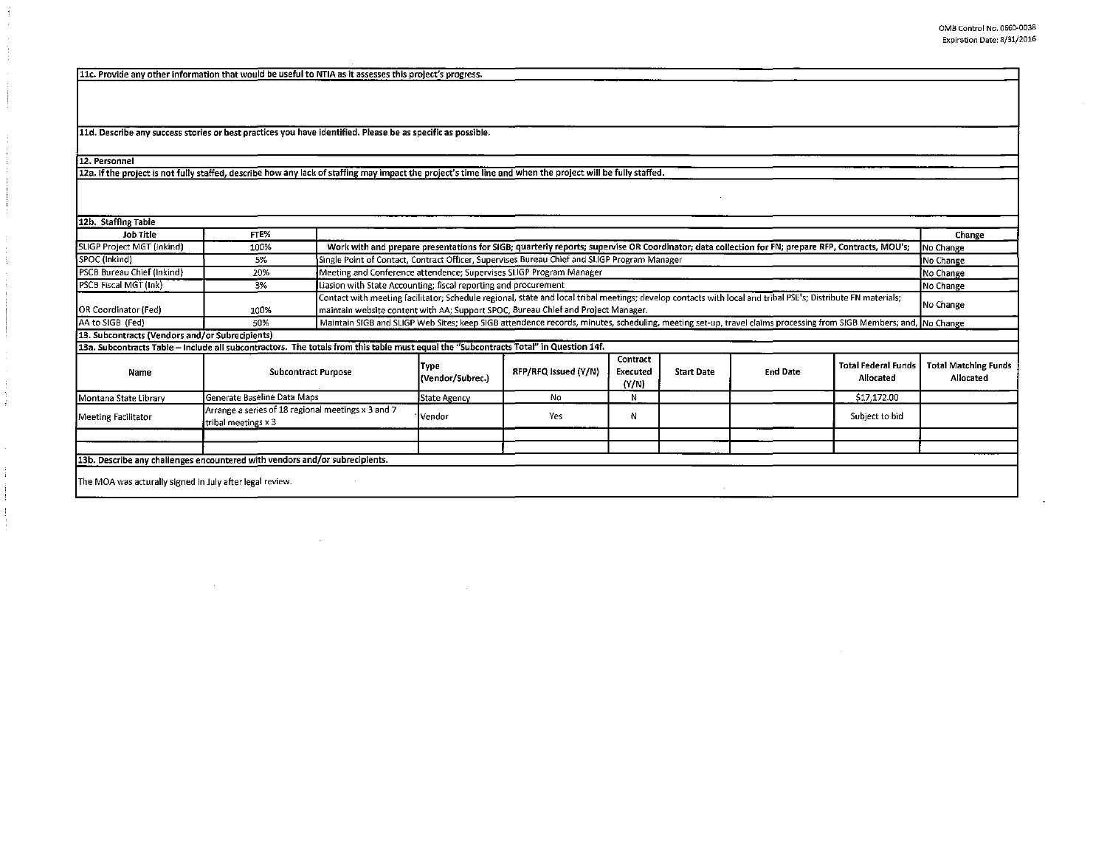11c. Provide any other information that would be useful to NTIA as it assesses this project's progress.

11d. Describe any success stories or best practices you have identified. Please be as specific as possible.

 $\mathcal{L}$ 

12. Personnel

H.

12a. If the project is not fully staffed, describe how any lack of staffing may impact the project's time line and when the project will be fully staffed.

| 12b. Staffing Table                                                                                                                   |                             |                                                                                                                                                                                                                                                   |                                                                                                                                                                  |                      |                               |                   |                 |                                         |                                          |
|---------------------------------------------------------------------------------------------------------------------------------------|-----------------------------|---------------------------------------------------------------------------------------------------------------------------------------------------------------------------------------------------------------------------------------------------|------------------------------------------------------------------------------------------------------------------------------------------------------------------|----------------------|-------------------------------|-------------------|-----------------|-----------------------------------------|------------------------------------------|
| Job Title                                                                                                                             | FTE%                        |                                                                                                                                                                                                                                                   |                                                                                                                                                                  |                      |                               |                   |                 |                                         | Change                                   |
| SLIGP Project MGT (Inkind)                                                                                                            | 100%                        | Work with and prepare presentations for SIGB; quarterly reports; supervise OR Coordinator; data collection for FN; prepare RFP, Contracts, MOU's;                                                                                                 |                                                                                                                                                                  |                      |                               |                   |                 |                                         | No Change                                |
| SPOC (Inkind)                                                                                                                         | 5%                          |                                                                                                                                                                                                                                                   | Single Point of Contact, Contract Officer, Supervises Bureau Chief and SLIGP Program Manager                                                                     |                      |                               |                   |                 |                                         | No Change                                |
| PSCB Bureau Chief (Inkind)                                                                                                            | 20%                         | Meeting and Conference attendence; Supervises SLIGP Program Manager                                                                                                                                                                               |                                                                                                                                                                  |                      |                               |                   |                 | No Change                               |                                          |
| PSCB Fiscal MGT (Ink)                                                                                                                 | 3%                          | Liasion with State Accounting; fiscal reporting and procurement                                                                                                                                                                                   |                                                                                                                                                                  |                      |                               |                   |                 | No Change                               |                                          |
| OR Coordinator (Fed)                                                                                                                  | 100%                        | Contact with meeting facilitator; Schedule regional, state and local tribal meetings; develop contacts with local and tribal PSE's; Distribute FN materials;<br>maintain website content with AA; Support SPOC, Bureau Chief and Project Manager. |                                                                                                                                                                  |                      |                               |                   |                 | No Change                               |                                          |
| AA to SIGB (Fed)                                                                                                                      | 50%                         |                                                                                                                                                                                                                                                   | Maintain SIGB and SLIGP Web Sites; keep SIGB attendence records, minutes, scheduling, meeting set-up, travel claims processing from SIGB Members; and, No Change |                      |                               |                   |                 |                                         |                                          |
| 13. Subcontracts (Vendors and/or Subrecipients)                                                                                       |                             |                                                                                                                                                                                                                                                   |                                                                                                                                                                  |                      |                               |                   |                 |                                         |                                          |
| 13a. Subcontracts Table - Include all subcontractors. The totals from this table must equal the "Subcontracts Total" in Question 14f. |                             |                                                                                                                                                                                                                                                   |                                                                                                                                                                  |                      |                               |                   |                 |                                         |                                          |
| Name                                                                                                                                  |                             | <b>Subcontract Purpose</b>                                                                                                                                                                                                                        | Type<br>(Vendor/Subrec.)                                                                                                                                         | RFP/RFQ Issued (Y/N) | Contract<br>Executed<br>(Y/N) | <b>Start Date</b> | <b>End Date</b> | <b>Total Federal Funds</b><br>Allocated | <b>Total Matching Funds</b><br>Allocated |
| Montana State Library                                                                                                                 | Generate Baseline Data Maps |                                                                                                                                                                                                                                                   | <b>State Agency</b>                                                                                                                                              | No                   | N                             |                   |                 | \$17,172.00                             |                                          |
| Arrange a series of 18 regional meetings x 3 and 7<br>Meeting Facilitator<br>tribal meetings x 3                                      |                             | Vendor                                                                                                                                                                                                                                            | Yes                                                                                                                                                              | N                    |                               |                   | Subject to bid  |                                         |                                          |
|                                                                                                                                       |                             |                                                                                                                                                                                                                                                   |                                                                                                                                                                  |                      |                               |                   |                 |                                         |                                          |
|                                                                                                                                       |                             |                                                                                                                                                                                                                                                   |                                                                                                                                                                  |                      |                               |                   |                 |                                         |                                          |
| 13b. Describe any challenges encountered with vendors and/or subrecipients.                                                           |                             |                                                                                                                                                                                                                                                   |                                                                                                                                                                  |                      |                               |                   |                 |                                         |                                          |
| The MOA was acturally signed in July after legal review.                                                                              |                             |                                                                                                                                                                                                                                                   |                                                                                                                                                                  |                      |                               |                   |                 |                                         |                                          |